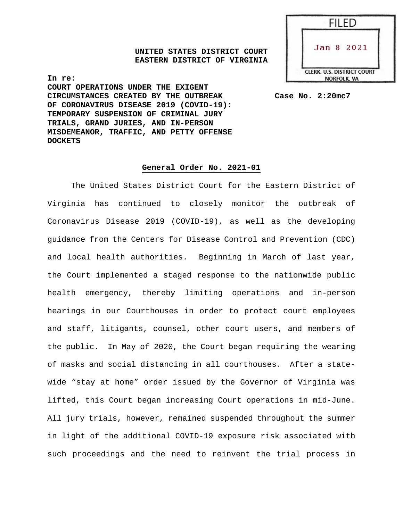**UNITED STATES DISTRICT COURT EASTERN DISTRICT OF VIRGINIA** 



**In re: COURT OPERATIONS UNDER THE EXIGENT CIRCUMSTANCES CREATED BY THE OUTBREAK Case No. 2:20mc7 OF CORONAVIRUS DISEASE 2019 (COVID-19): TEMPORARY SUSPENSION OF CRIMINAL JURY TRIALS, GRAND JURIES, AND IN-PERSON MISDEMEANOR, TRAFFIC, AND PETTY OFFENSE DOCKETS** 

# **General Order No. 2021-01**

The United States District Court for the Eastern District of Virginia has continued to closely monitor the outbreak of Coronavirus Disease 2019 (COVID-19), as well as the developing guidance from the Centers for Disease Control and Prevention (CDC) and local health authorities. Beginning in March of last year, the Court implemented a staged response to the nationwide public health emergency, thereby limiting operations and in-person hearings in our Courthouses in order to protect court employees and staff, litigants, counsel, other court users, and members of the public. In May of 2020, the Court began requiring the wearing of masks and social distancing in all courthouses. After a statewide "stay at home" order issued by the Governor of Virginia was lifted, this Court began increasing Court operations in mid-June. All jury trials, however, remained suspended throughout the summer in light of the additional COVID-19 exposure risk associated with such proceedings and the need to reinvent the trial process in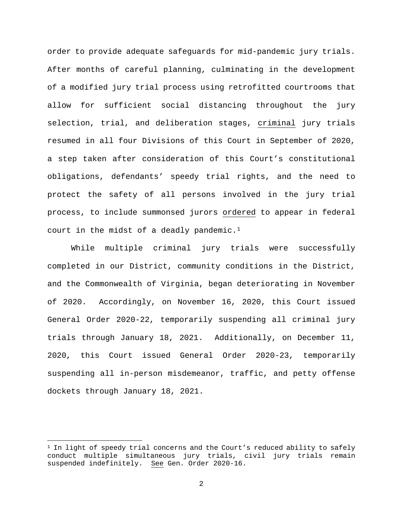order to provide adequate safeguards for mid-pandemic jury trials. After months of careful planning, culminating in the development of a modified jury trial process using retrofitted courtrooms that allow for sufficient social distancing throughout the jury selection, trial, and deliberation stages, criminal jury trials resumed in all four Divisions of this Court in September of 2020, a step taken after consideration of this Court's constitutional obligations, defendants' speedy trial rights, and the need to protect the safety of all persons involved in the jury trial process, to include summonsed jurors ordered to appear in federal court in the midst of a deadly pandemic.<sup>1</sup>

While multiple criminal jury trials were successfully completed in our District, community conditions in the District, and the Commonwealth of Virginia, began deteriorating in November of 2020. Accordingly, on November 16, 2020, this Court issued General Order 2020-22, temporarily suspending all criminal jury trials through January 18, 2021. Additionally, on December 11, 2020, this Court issued General Order 2020-23, temporarily suspending all in-person misdemeanor, traffic, and petty offense dockets through January 18, 2021.

<span id="page-1-0"></span> $1$  In light of speedy trial concerns and the Court's reduced ability to safely conduct multiple simultaneous jury trials, civil jury trials remain suspended indefinitely. See Gen. Order 2020-16.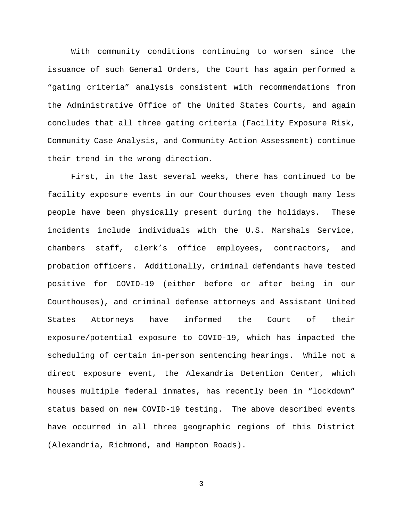With community conditions continuing to worsen since the issuance of such General Orders, the Court has again performed a "gating criteria" analysis consistent with recommendations from the Administrative Office of the United States Courts, and again concludes that all three gating criteria (Facility Exposure Risk, Community Case Analysis, and Community Action Assessment) continue their trend in the wrong direction.

First, in the last several weeks, there has continued to be facility exposure events in our Courthouses even though many less people have been physically present during the holidays. These incidents include individuals with the U.S. Marshals Service, chambers staff, clerk's office employees, contractors, and probation officers. Additionally, criminal defendants have tested positive for COVID-19 (either before or after being in our Courthouses), and criminal defense attorneys and Assistant United States Attorneys have informed the Court of their exposure/potential exposure to COVID-19, which has impacted the scheduling of certain in-person sentencing hearings. While not a direct exposure event, the Alexandria Detention Center, which houses multiple federal inmates, has recently been in "lockdown" status based on new COVID-19 testing. The above described events have occurred in all three geographic regions of this District (Alexandria, Richmond, and Hampton Roads).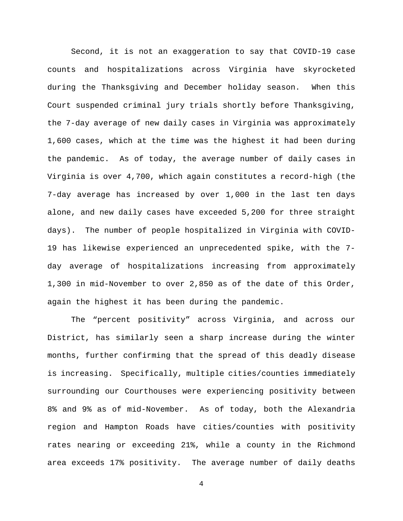Second, it is not an exaggeration to say that COVID-19 case counts and hospitalizations across Virginia have skyrocketed during the Thanksgiving and December holiday season. When this Court suspended criminal jury trials shortly before Thanksgiving, the 7-day average of new daily cases in Virginia was approximately 1,600 cases, which at the time was the highest it had been during the pandemic. As of today, the average number of daily cases in Virginia is over 4,700, which again constitutes a record-high (the 7-day average has increased by over 1,000 in the last ten days alone, and new daily cases have exceeded 5,200 for three straight days). The number of people hospitalized in Virginia with COVID-19 has likewise experienced an unprecedented spike, with the 7 day average of hospitalizations increasing from approximately 1,300 in mid-November to over 2,850 as of the date of this Order, again the highest it has been during the pandemic.

The "percent positivity" across Virginia, and across our District, has similarly seen a sharp increase during the winter months, further confirming that the spread of this deadly disease is increasing. Specifically, multiple cities/counties immediately surrounding our Courthouses were experiencing positivity between 8% and 9% as of mid-November. As of today, both the Alexandria region and Hampton Roads have cities/counties with positivity rates nearing or exceeding 21%, while a county in the Richmond area exceeds 17% positivity. The average number of daily deaths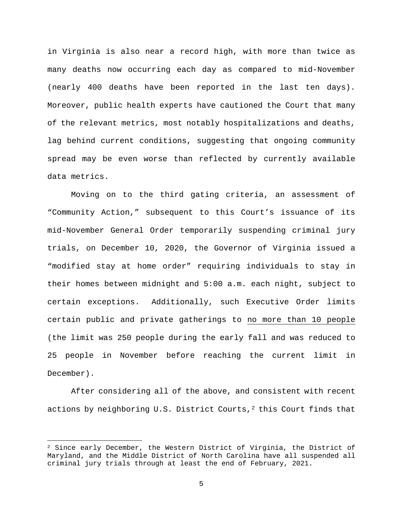in Virginia is also near a record high, with more than twice as many deaths now occurring each day as compared to mid-November (nearly 400 deaths have been reported in the last ten days). Moreover, public health experts have cautioned the Court that many of the relevant metrics, most notably hospitalizations and deaths, lag behind current conditions, suggesting that ongoing community spread may be even worse than reflected by currently available data metrics.

Moving on to the third gating criteria, an assessment of "Community Action," subsequent to this Court's issuance of its mid-November General Order temporarily suspending criminal jury trials, on December 10, 2020, the Governor of Virginia issued a "modified stay at home order" requiring individuals to stay in their homes between midnight and 5:00 a.m. each night, subject to certain exceptions. Additionally, such Executive Order limits certain public and private gatherings to no more than 10 people (the limit was 250 people during the early fall and was reduced to 25 people in November before reaching the current limit in December).

After considering all of the above, and consistent with recent actions by neighboring U.S. District Courts, $2$  this Court finds that

<span id="page-4-0"></span> $2$  Since early December, the Western District of Virginia, the District of Maryland, and the Middle District of North Carolina have all suspended all criminal jury trials through at least the end of February, 2021.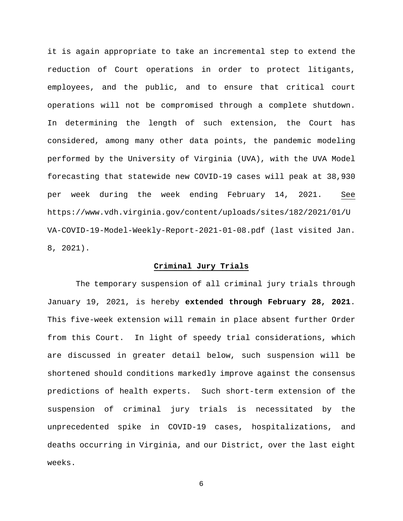it is again appropriate to take an incremental step to extend the reduction of Court operations in order to protect litigants, employees, and the public, and to ensure that critical court operations will not be compromised through a complete shutdown. In determining the length of such extension, the Court has considered, among many other data points, the pandemic modeling performed by the University of Virginia (UVA), with the UVA Model forecasting that statewide new COVID-19 cases will peak at 38,930 per week during the week ending February 14, 2021. See https://www.vdh.virginia.gov/content/uploads/sites/182/2021/01/U VA-COVID-19-Model-Weekly-Report-2021-01-08.pdf (last visited Jan. 8, 2021).

# **Criminal Jury Trials**

The temporary suspension of all criminal jury trials through January 19, 2021, is hereby **extended through February 28, 2021**. This five-week extension will remain in place absent further Order from this Court. In light of speedy trial considerations, which are discussed in greater detail below, such suspension will be shortened should conditions markedly improve against the consensus predictions of health experts. Such short-term extension of the suspension of criminal jury trials is necessitated by the unprecedented spike in COVID-19 cases, hospitalizations, and deaths occurring in Virginia, and our District, over the last eight weeks.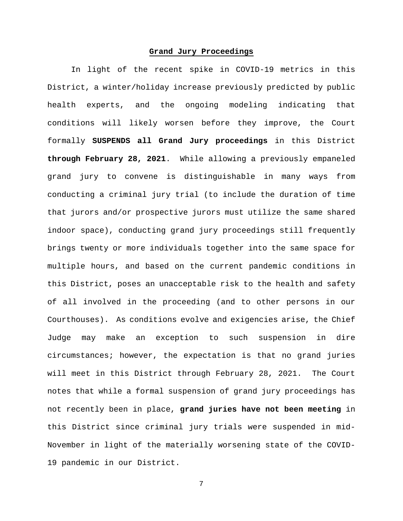# **Grand Jury Proceedings**

In light of the recent spike in COVID-19 metrics in this District, a winter/holiday increase previously predicted by public health experts, and the ongoing modeling indicating that conditions will likely worsen before they improve, the Court formally **SUSPENDS all Grand Jury proceedings** in this District **through February 28, 2021**. While allowing a previously empaneled grand jury to convene is distinguishable in many ways from conducting a criminal jury trial (to include the duration of time that jurors and/or prospective jurors must utilize the same shared indoor space), conducting grand jury proceedings still frequently brings twenty or more individuals together into the same space for multiple hours, and based on the current pandemic conditions in this District, poses an unacceptable risk to the health and safety of all involved in the proceeding (and to other persons in our Courthouses). As conditions evolve and exigencies arise, the Chief Judge may make an exception to such suspension in dire circumstances; however, the expectation is that no grand juries will meet in this District through February 28, 2021. The Court notes that while a formal suspension of grand jury proceedings has not recently been in place, **grand juries have not been meeting** in this District since criminal jury trials were suspended in mid-November in light of the materially worsening state of the COVID-19 pandemic in our District.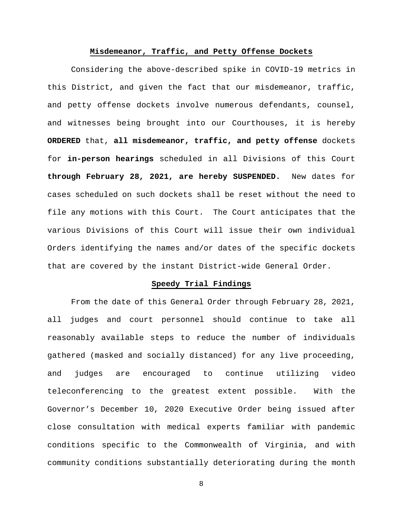#### **Misdemeanor, Traffic, and Petty Offense Dockets**

Considering the above-described spike in COVID-19 metrics in this District, and given the fact that our misdemeanor, traffic, and petty offense dockets involve numerous defendants, counsel, and witnesses being brought into our Courthouses, it is hereby **ORDERED** that, **all misdemeanor, traffic, and petty offense** dockets for **in-person hearings** scheduled in all Divisions of this Court **through February 28, 2021, are hereby SUSPENDED.** New dates for cases scheduled on such dockets shall be reset without the need to file any motions with this Court. The Court anticipates that the various Divisions of this Court will issue their own individual Orders identifying the names and/or dates of the specific dockets that are covered by the instant District-wide General Order.

# **Speedy Trial Findings**

From the date of this General Order through February 28, 2021, all judges and court personnel should continue to take all reasonably available steps to reduce the number of individuals gathered (masked and socially distanced) for any live proceeding, and judges are encouraged to continue utilizing video teleconferencing to the greatest extent possible. With the Governor's December 10, 2020 Executive Order being issued after close consultation with medical experts familiar with pandemic conditions specific to the Commonwealth of Virginia, and with community conditions substantially deteriorating during the month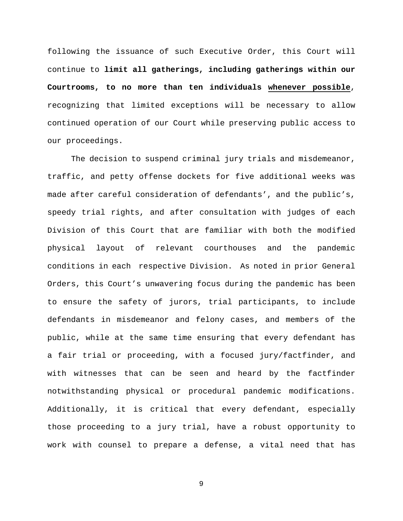following the issuance of such Executive Order, this Court will continue to **limit all gatherings, including gatherings within our Courtrooms, to no more than ten individuals whenever possible**, recognizing that limited exceptions will be necessary to allow continued operation of our Court while preserving public access to our proceedings.

The decision to suspend criminal jury trials and misdemeanor, traffic, and petty offense dockets for five additional weeks was made after careful consideration of defendants', and the public's, speedy trial rights, and after consultation with judges of each Division of this Court that are familiar with both the modified physical layout of relevant courthouses and the pandemic conditions in each respective Division. As noted in prior General Orders, this Court's unwavering focus during the pandemic has been to ensure the safety of jurors, trial participants, to include defendants in misdemeanor and felony cases, and members of the public, while at the same time ensuring that every defendant has a fair trial or proceeding, with a focused jury/factfinder, and with witnesses that can be seen and heard by the factfinder notwithstanding physical or procedural pandemic modifications. Additionally, it is critical that every defendant, especially those proceeding to a jury trial, have a robust opportunity to work with counsel to prepare a defense, a vital need that has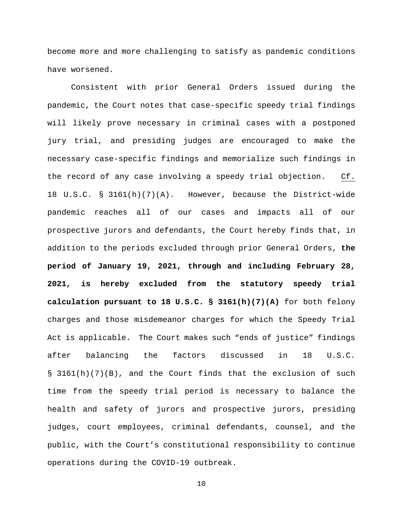become more and more challenging to satisfy as pandemic conditions have worsened.

Consistent with prior General Orders issued during the pandemic, the Court notes that case-specific speedy trial findings will likely prove necessary in criminal cases with a postponed jury trial, and presiding judges are encouraged to make the necessary case-specific findings and memorialize such findings in the record of any case involving a speedy trial objection. Cf. 18 U.S.C. § 3161(h)(7)(A). However, because the District-wide pandemic reaches all of our cases and impacts all of our prospective jurors and defendants, the Court hereby finds that, in addition to the periods excluded through prior General Orders, **the period of January 19, 2021, through and including February 28, 2021, is hereby excluded from the statutory speedy trial calculation pursuant to 18 U.S.C. § 3161(h)(7)(A)** for both felony charges and those misdemeanor charges for which the Speedy Trial Act is applicable. The Court makes such "ends of justice" findings after balancing the factors discussed in 18 U.S.C. § 3161(h)(7)(B), and the Court finds that the exclusion of such time from the speedy trial period is necessary to balance the health and safety of jurors and prospective jurors, presiding judges, court employees, criminal defendants, counsel, and the public, with the Court's constitutional responsibility to continue operations during the COVID-19 outbreak.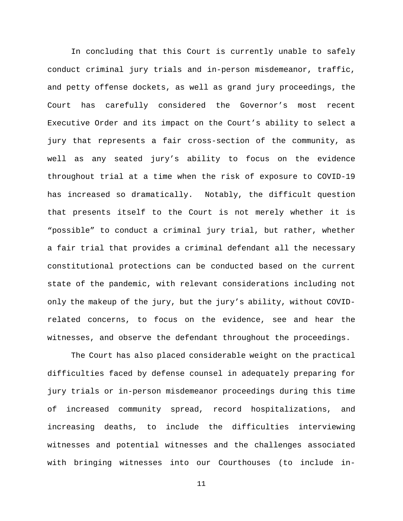In concluding that this Court is currently unable to safely conduct criminal jury trials and in-person misdemeanor, traffic, and petty offense dockets, as well as grand jury proceedings, the Court has carefully considered the Governor's most recent Executive Order and its impact on the Court's ability to select a jury that represents a fair cross-section of the community, as well as any seated jury's ability to focus on the evidence throughout trial at a time when the risk of exposure to COVID-19 has increased so dramatically. Notably, the difficult question that presents itself to the Court is not merely whether it is "possible" to conduct a criminal jury trial, but rather, whether a fair trial that provides a criminal defendant all the necessary constitutional protections can be conducted based on the current state of the pandemic, with relevant considerations including not only the makeup of the jury, but the jury's ability, without COVIDrelated concerns, to focus on the evidence, see and hear the witnesses, and observe the defendant throughout the proceedings.

The Court has also placed considerable weight on the practical difficulties faced by defense counsel in adequately preparing for jury trials or in-person misdemeanor proceedings during this time of increased community spread, record hospitalizations, and increasing deaths, to include the difficulties interviewing witnesses and potential witnesses and the challenges associated with bringing witnesses into our Courthouses (to include in-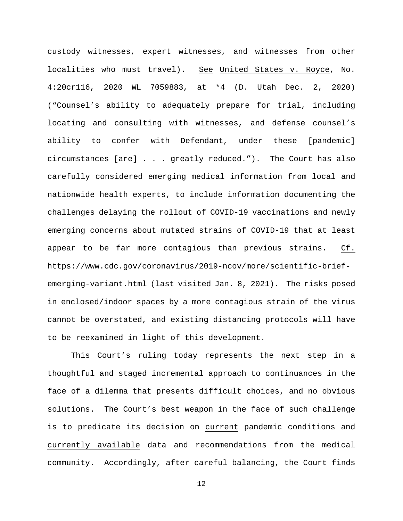custody witnesses, expert witnesses, and witnesses from other localities who must travel). See United States v. Royce, No. 4:20cr116, 2020 WL 7059883, at \*4 (D. Utah Dec. 2, 2020) ("Counsel's ability to adequately prepare for trial, including locating and consulting with witnesses, and defense counsel's ability to confer with Defendant, under these [pandemic] circumstances [are] . . . greatly reduced."). The Court has also carefully considered emerging medical information from local and nationwide health experts, to include information documenting the challenges delaying the rollout of COVID-19 vaccinations and newly emerging concerns about mutated strains of COVID-19 that at least appear to be far more contagious than previous strains. Cf. https://www.cdc.gov/coronavirus/2019-ncov/more/scientific-briefemerging-variant.html (last visited Jan. 8, 2021). The risks posed in enclosed/indoor spaces by a more contagious strain of the virus cannot be overstated, and existing distancing protocols will have to be reexamined in light of this development.

This Court's ruling today represents the next step in a thoughtful and staged incremental approach to continuances in the face of a dilemma that presents difficult choices, and no obvious solutions. The Court's best weapon in the face of such challenge is to predicate its decision on current pandemic conditions and currently available data and recommendations from the medical community. Accordingly, after careful balancing, the Court finds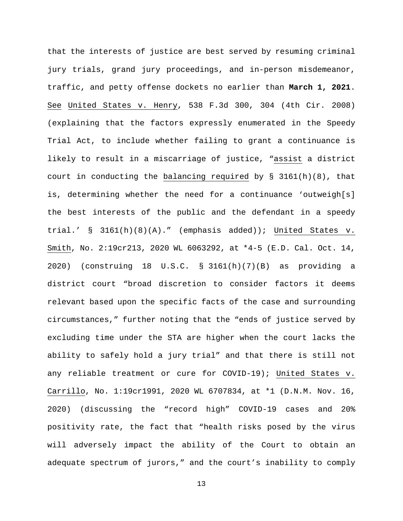that the interests of justice are best served by resuming criminal jury trials, grand jury proceedings, and in-person misdemeanor, traffic, and petty offense dockets no earlier than **March 1, 2021**. See United States v. Henry, 538 F.3d 300, 304 (4th Cir. 2008) (explaining that the factors expressly enumerated in the Speedy Trial Act, to include whether failing to grant a continuance is likely to result in a miscarriage of justice, "assist a district court in conducting the balancing required by § 3161(h)(8), that is, determining whether the need for a continuance 'outweigh[s] the best interests of the public and the defendant in a speedy trial.' § 3161(h)(8)(A)." (emphasis added)); United States v. Smith, No. 2:19cr213, 2020 WL 6063292, at \*4-5 (E.D. Cal. Oct. 14, 2020) (construing 18 U.S.C. § 3161(h)(7)(B) as providing a district court "broad discretion to consider factors it deems relevant based upon the specific facts of the case and surrounding circumstances," further noting that the "ends of justice served by excluding time under the STA are higher when the court lacks the ability to safely hold a jury trial" and that there is still not any reliable treatment or cure for COVID-19); United States v. Carrillo, No. 1:19cr1991, 2020 WL 6707834, at \*1 (D.N.M. Nov. 16, 2020) (discussing the "record high" COVID-19 cases and 20% positivity rate, the fact that "health risks posed by the virus will adversely impact the ability of the Court to obtain an adequate spectrum of jurors," and the court's inability to comply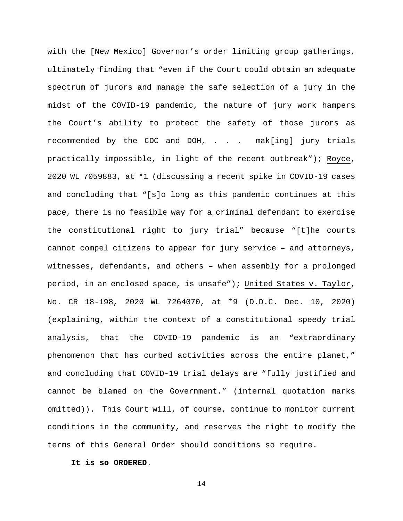with the [New Mexico] Governor's order limiting group gatherings, ultimately finding that "even if the Court could obtain an adequate spectrum of jurors and manage the safe selection of a jury in the midst of the COVID-19 pandemic, the nature of jury work hampers the Court's ability to protect the safety of those jurors as recommended by the CDC and DOH, . . . mak[ing] jury trials practically impossible, in light of the recent outbreak"); Royce, 2020 WL 7059883, at \*1 (discussing a recent spike in COVID-19 cases and concluding that "[s]o long as this pandemic continues at this pace, there is no feasible way for a criminal defendant to exercise the constitutional right to jury trial" because "[t]he courts cannot compel citizens to appear for jury service – and attorneys, witnesses, defendants, and others – when assembly for a prolonged period, in an enclosed space, is unsafe"); United States v. Taylor, No. CR 18-198, 2020 WL 7264070, at \*9 (D.D.C. Dec. 10, 2020) (explaining, within the context of a constitutional speedy trial analysis, that the COVID-19 pandemic is an "extraordinary phenomenon that has curbed activities across the entire planet," and concluding that COVID-19 trial delays are "fully justified and cannot be blamed on the Government." (internal quotation marks omitted)). This Court will, of course, continue to monitor current conditions in the community, and reserves the right to modify the terms of this General Order should conditions so require.

# **It is so ORDERED**.